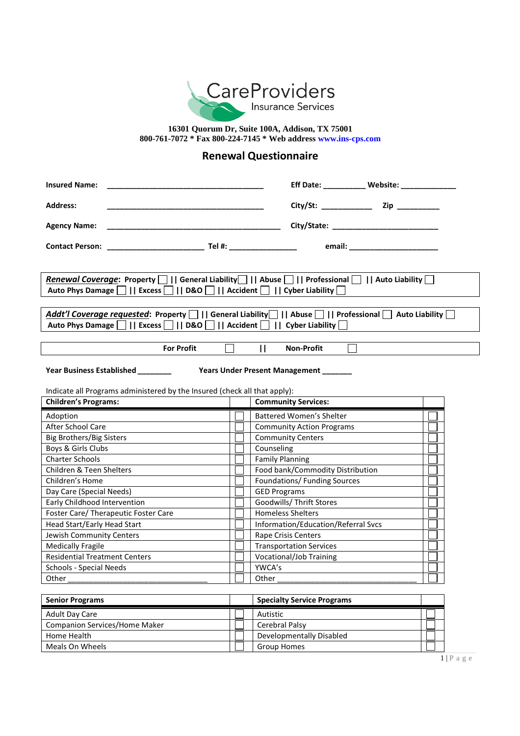

**16301 Quorum Dr, Suite 100A, Addison, TX 75001 800-761-7072 \* Fax 800-224-7145 \* Web address www.ins-cps.com**

## **Renewal Questionnaire**

| <b>Insured Name:</b>                                                                                                                                                                                                                                                                                                                                                                       |  |                                     | Eff Date: __________ Website: ___________ |  |  |
|--------------------------------------------------------------------------------------------------------------------------------------------------------------------------------------------------------------------------------------------------------------------------------------------------------------------------------------------------------------------------------------------|--|-------------------------------------|-------------------------------------------|--|--|
| <b>Address:</b>                                                                                                                                                                                                                                                                                                                                                                            |  |                                     |                                           |  |  |
| <b>Agency Name:</b>                                                                                                                                                                                                                                                                                                                                                                        |  |                                     |                                           |  |  |
|                                                                                                                                                                                                                                                                                                                                                                                            |  |                                     |                                           |  |  |
| <b>Renewal Coverage:</b> Property       General Liability       Abuse       Professional       Auto Liability  <br>Auto Phys Damage      Excess      D&O       Accident       Cyber Liability   <br>Addt'l Coverage requested: Property      General Liability    Abuse       Professional    Auto Liability<br>Auto Phys Damage      Excess      D&O       Accident       Cyber Liability |  |                                     |                                           |  |  |
| <b>For Profit</b>                                                                                                                                                                                                                                                                                                                                                                          |  | $\mathbf{H}$<br><b>Non-Profit</b>   |                                           |  |  |
| Year Business Established ________<br>Years Under Present Management ______<br>Indicate all Programs administered by the Insured (check all that apply):<br><b>Community Services:</b><br><b>Children's Programs:</b>                                                                                                                                                                      |  |                                     |                                           |  |  |
| Adoption                                                                                                                                                                                                                                                                                                                                                                                   |  | Battered Women's Shelter            |                                           |  |  |
| After School Care                                                                                                                                                                                                                                                                                                                                                                          |  | <b>Community Action Programs</b>    |                                           |  |  |
| Big Brothers/Big Sisters                                                                                                                                                                                                                                                                                                                                                                   |  | <b>Community Centers</b>            |                                           |  |  |
| Boys & Girls Clubs                                                                                                                                                                                                                                                                                                                                                                         |  | Counseling                          |                                           |  |  |
| <b>Charter Schools</b>                                                                                                                                                                                                                                                                                                                                                                     |  | <b>Family Planning</b>              |                                           |  |  |
| Children & Teen Shelters                                                                                                                                                                                                                                                                                                                                                                   |  | Food bank/Commodity Distribution    |                                           |  |  |
| Children's Home                                                                                                                                                                                                                                                                                                                                                                            |  | Foundations/ Funding Sources        |                                           |  |  |
| Day Care (Special Needs)                                                                                                                                                                                                                                                                                                                                                                   |  | <b>GED Programs</b>                 |                                           |  |  |
| Early Childhood Intervention                                                                                                                                                                                                                                                                                                                                                               |  | Goodwills/ Thrift Stores            |                                           |  |  |
| Foster Care/ Therapeutic Foster Care                                                                                                                                                                                                                                                                                                                                                       |  | <b>Homeless Shelters</b>            |                                           |  |  |
| Head Start/Early Head Start                                                                                                                                                                                                                                                                                                                                                                |  | Information/Education/Referral Svcs |                                           |  |  |
| Jewish Community Centers                                                                                                                                                                                                                                                                                                                                                                   |  | Rape Crisis Centers                 |                                           |  |  |
| <b>Medically Fragile</b>                                                                                                                                                                                                                                                                                                                                                                   |  | <b>Transportation Services</b>      |                                           |  |  |
| <b>Residential Treatment Centers</b>                                                                                                                                                                                                                                                                                                                                                       |  | Vocational/Job Training             |                                           |  |  |
| Schools - Special Needs                                                                                                                                                                                                                                                                                                                                                                    |  | YWCA's                              |                                           |  |  |
| Other                                                                                                                                                                                                                                                                                                                                                                                      |  | Other                               |                                           |  |  |
|                                                                                                                                                                                                                                                                                                                                                                                            |  |                                     |                                           |  |  |
| <b>Senior Programs</b>                                                                                                                                                                                                                                                                                                                                                                     |  | <b>Specialty Service Programs</b>   |                                           |  |  |

| <b>SCHINT LINETAILS</b>       | <b>Specially Service Frograms</b> |  |
|-------------------------------|-----------------------------------|--|
| Adult Day Care                | Autistic                          |  |
| Companion Services/Home Maker | Cerebral Palsy                    |  |
| Home Health                   | Developmentally Disabled          |  |
| Meals On Wheels               | Group Homes                       |  |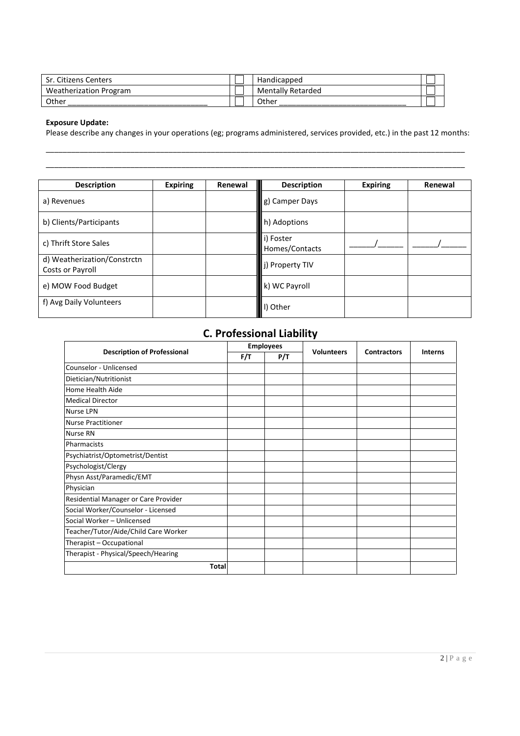| Sr. Citizens Centers   | Handicapped              |  |
|------------------------|--------------------------|--|
| Weatherization Program | <b>Mentally Retarded</b> |  |
| Other                  | Other                    |  |

#### **Exposure Update:**

Please describe any changes in your operations (eg; programs administered, services provided, etc.) in the past 12 months: \_\_\_\_\_\_\_\_\_\_\_\_\_\_\_\_\_\_\_\_\_\_\_\_\_\_\_\_\_\_\_\_\_\_\_\_\_\_\_\_\_\_\_\_\_\_\_\_\_\_\_\_\_\_\_\_\_\_\_\_\_\_\_\_\_\_\_\_\_\_\_\_\_\_\_\_\_\_\_\_\_\_\_\_\_\_\_\_\_\_\_\_\_\_\_\_\_\_\_

\_\_\_\_\_\_\_\_\_\_\_\_\_\_\_\_\_\_\_\_\_\_\_\_\_\_\_\_\_\_\_\_\_\_\_\_\_\_\_\_\_\_\_\_\_\_\_\_\_\_\_\_\_\_\_\_\_\_\_\_\_\_\_\_\_\_\_\_\_\_\_\_\_\_\_\_\_\_\_\_\_\_\_\_\_\_\_\_\_\_\_\_\_\_\_\_\_\_\_

| <b>Description</b>                              | <b>Expiring</b> | Renewal | <b>Description</b>          | <b>Expiring</b> | Renewal |
|-------------------------------------------------|-----------------|---------|-----------------------------|-----------------|---------|
| a) Revenues                                     |                 |         | g) Camper Days              |                 |         |
| b) Clients/Participants                         |                 |         | h) Adoptions                |                 |         |
| c) Thrift Store Sales                           |                 |         | i) Foster<br>Homes/Contacts |                 |         |
| d) Weatherization/Constrctn<br>Costs or Payroll |                 |         | j) Property TIV             |                 |         |
| e) MOW Food Budget                              |                 |         | k) WC Payroll               |                 |         |
| f) Avg Daily Volunteers                         |                 |         | I) Other                    |                 |         |

# **C. Professional Liability**

|                                      | <b>Employees</b> |     |                   |                    |                |
|--------------------------------------|------------------|-----|-------------------|--------------------|----------------|
| <b>Description of Professional</b>   | F/T              | P/T | <b>Volunteers</b> | <b>Contractors</b> | <b>Interns</b> |
| Counselor - Unlicensed               |                  |     |                   |                    |                |
| Dietician/Nutritionist               |                  |     |                   |                    |                |
| Home Health Aide                     |                  |     |                   |                    |                |
| <b>Medical Director</b>              |                  |     |                   |                    |                |
| <b>Nurse LPN</b>                     |                  |     |                   |                    |                |
| <b>Nurse Practitioner</b>            |                  |     |                   |                    |                |
| <b>Nurse RN</b>                      |                  |     |                   |                    |                |
| Pharmacists                          |                  |     |                   |                    |                |
| Psychiatrist/Optometrist/Dentist     |                  |     |                   |                    |                |
| Psychologist/Clergy                  |                  |     |                   |                    |                |
| Physn Asst/Paramedic/EMT             |                  |     |                   |                    |                |
| Physician                            |                  |     |                   |                    |                |
| Residential Manager or Care Provider |                  |     |                   |                    |                |
| Social Worker/Counselor - Licensed   |                  |     |                   |                    |                |
| Social Worker - Unlicensed           |                  |     |                   |                    |                |
| Teacher/Tutor/Aide/Child Care Worker |                  |     |                   |                    |                |
| Therapist - Occupational             |                  |     |                   |                    |                |
| Therapist - Physical/Speech/Hearing  |                  |     |                   |                    |                |
| <b>Total</b>                         |                  |     |                   |                    |                |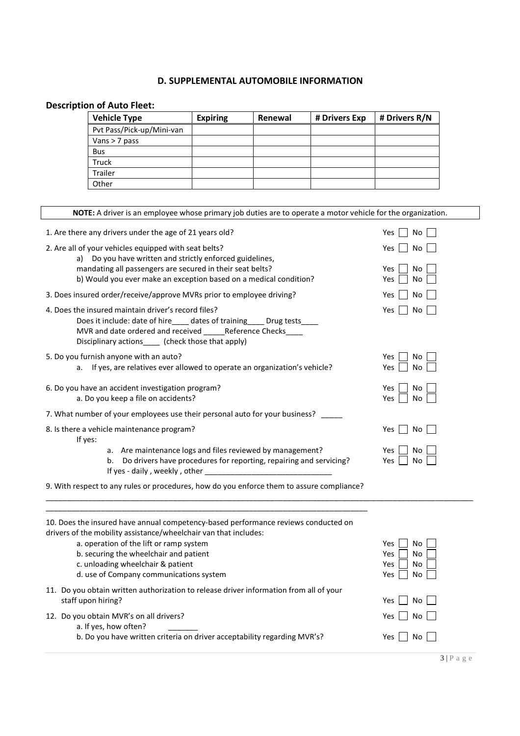#### **D. SUPPLEMENTAL AUTOMOBILE INFORMATION**

## **Description of Auto Fleet:**

| <b>Vehicle Type</b>       | <b>Expiring</b> | Renewal | # Drivers Exp | # Drivers R/N |
|---------------------------|-----------------|---------|---------------|---------------|
| Pvt Pass/Pick-up/Mini-van |                 |         |               |               |
| Vans $>$ 7 pass           |                 |         |               |               |
| <b>Bus</b>                |                 |         |               |               |
| <b>Truck</b>              |                 |         |               |               |
| <b>Trailer</b>            |                 |         |               |               |
| Other                     |                 |         |               |               |

| NOTE: A driver is an employee whose primary job duties are to operate a motor vehicle for the organization.                                                                                                                                                                                                                 |                                                         |
|-----------------------------------------------------------------------------------------------------------------------------------------------------------------------------------------------------------------------------------------------------------------------------------------------------------------------------|---------------------------------------------------------|
| 1. Are there any drivers under the age of 21 years old?                                                                                                                                                                                                                                                                     | Yes<br>No                                               |
| 2. Are all of your vehicles equipped with seat belts?<br>a) Do you have written and strictly enforced guidelines,                                                                                                                                                                                                           | No.<br>Yes                                              |
| mandating all passengers are secured in their seat belts?<br>b) Would you ever make an exception based on a medical condition?                                                                                                                                                                                              | Yes<br>No<br>Yes<br>No                                  |
| 3. Does insured order/receive/approve MVRs prior to employee driving?                                                                                                                                                                                                                                                       | Yes<br>No                                               |
| 4. Does the insured maintain driver's record files?<br>Does it include: date of hire____ dates of training____ Drug tests_<br>MVR and date ordered and received ______ Reference Checks<br>Disciplinary actions_____ (check those that apply)                                                                               | No<br>Yes                                               |
| 5. Do you furnish anyone with an auto?<br>If yes, are relatives ever allowed to operate an organization's vehicle?<br>а.                                                                                                                                                                                                    | Yes<br>No<br>No<br>Yes                                  |
| 6. Do you have an accident investigation program?<br>a. Do you keep a file on accidents?                                                                                                                                                                                                                                    | Yes<br>No.<br>Yes<br>No                                 |
| 7. What number of your employees use their personal auto for your business?                                                                                                                                                                                                                                                 |                                                         |
| 8. Is there a vehicle maintenance program?<br>If yes:                                                                                                                                                                                                                                                                       | Yes<br>No.                                              |
| a. Are maintenance logs and files reviewed by management?<br>Do drivers have procedures for reporting, repairing and servicing?<br>b.                                                                                                                                                                                       | Yes<br>No<br>Yes<br>No                                  |
| 9. With respect to any rules or procedures, how do you enforce them to assure compliance?                                                                                                                                                                                                                                   |                                                         |
| 10. Does the insured have annual competency-based performance reviews conducted on<br>drivers of the mobility assistance/wheelchair van that includes:<br>a. operation of the lift or ramp system<br>b. securing the wheelchair and patient<br>c. unloading wheelchair & patient<br>d. use of Company communications system | Yes<br>No<br>Yes<br>No<br><b>No</b><br>Yes<br>No<br>Yes |
| 11. Do you obtain written authorization to release driver information from all of your<br>staff upon hiring?                                                                                                                                                                                                                | Yes<br>No                                               |

| 12. Do you obtain MVR's on all drivers?                                  | Yes $\vert$ No $\vert$ 1 |
|--------------------------------------------------------------------------|--------------------------|
| a. If yes, how often?                                                    |                          |
| b. Do you have written criteria on driver acceptability regarding MVR's? | Yes $\Box$ No $\Box$     |

3 | P a g e